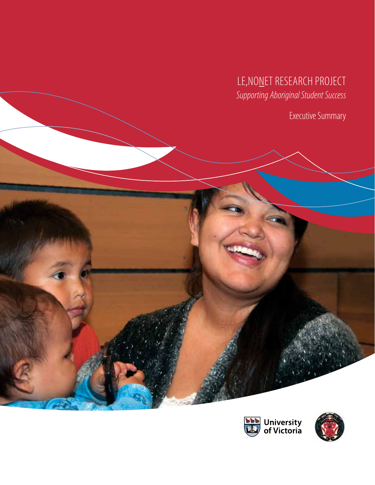### LE, NONET RESEARCH PROJECT

*Supporting Aboriginal Student Success*

Executive Summary



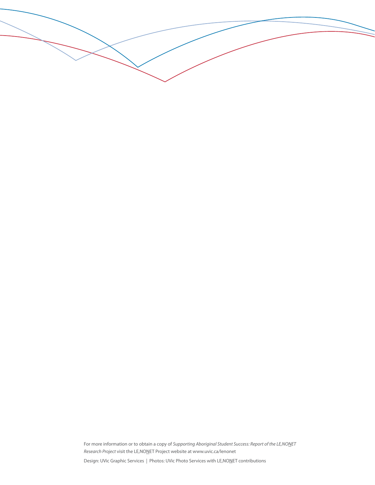

For more information or to obtain a copy of *Supporting Aboriginal Student Success: Report of the LE,NONET Research Project* visit the LE,NONET Project website at www.uvic.ca/lenonet

Design: UVic Graphic Services | Photos: UVic Photo Services with LE,NONET contributions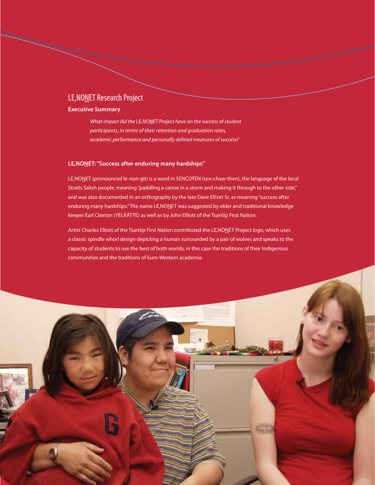### LE,NONET Research Project

### **Executive Summary**

*What impact did the LE,NONET Project have on the success of student participants, in terms of their retention and graduation rates, academic performance and personally defined measures of success?* 

### **LE,NONET: "Success after enduring many hardships"**

LE,NONET (pronounced le-non-git) is a word in SENĆOTEN (sen-chaw-then), the language of the local Straits Salish people, meaning "paddling a canoe in a storm and making it through to the other side," and was also documented in an orthography by the late Dave Elliott Sr. as meaning "success after enduring many hardships." The name LE,NONET was suggested by elder and traditional knowledge keeper Earl Claxton (YELЌÁTŦE) as well as by John Elliott of the Tsartlip First Nation.

Artist Charles Elliott of the Tsartlip First Nation contributed the LE,NONET Project logo, which uses a classic spindle whorl design depicting a human surrounded by a pair of wolves and speaks to the capacity of students to use the best of both worlds, in this case the traditions of their Indigenous communities and the traditions of Euro-Western academia.

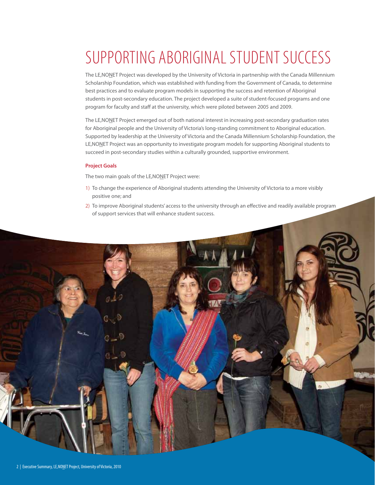## Supporting Aboriginal Student Success

The LE,NONET Project was developed by the University of Victoria in partnership with the Canada Millennium Scholarship Foundation, which was established with funding from the Government of Canada, to determine best practices and to evaluate program models in supporting the success and retention of Aboriginal students in post-secondary education. The project developed a suite of student-focused programs and one program for faculty and staff at the university, which were piloted between 2005 and 2009.

The LE,NONET Project emerged out of both national interest in increasing post-secondary graduation rates for Aboriginal people and the University of Victoria's long-standing commitment to Aboriginal education. Supported by leadership at the University of Victoria and the Canada Millennium Scholarship Foundation, the LE,NONET Project was an opportunity to investigate program models for supporting Aboriginal students to succeed in post-secondary studies within a culturally grounded, supportive environment.

#### **Project Goals**

The two main goals of the LE,NONET Project were:

- 1) To change the experience of Aboriginal students attending the University of Victoria to a more visibly positive one; and
- 2) To improve Aboriginal students' access to the university through an effective and readily available program of support services that will enhance student success.

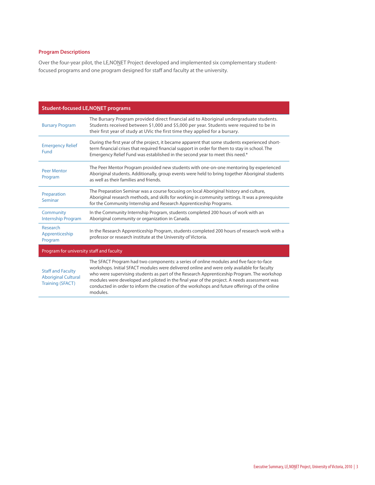### **Program Descriptions**

Over the four-year pilot, the LE,NONET Project developed and implemented six complementary studentfocused programs and one program designed for staff and faculty at the university.

| <b>Student-focused LE, NONET programs</b>                                         |                                                                                                                                                                                                                                                                                                                                                                                                                                                                                                |  |  |
|-----------------------------------------------------------------------------------|------------------------------------------------------------------------------------------------------------------------------------------------------------------------------------------------------------------------------------------------------------------------------------------------------------------------------------------------------------------------------------------------------------------------------------------------------------------------------------------------|--|--|
| <b>Bursary Program</b>                                                            | The Bursary Program provided direct financial aid to Aboriginal undergraduate students.<br>Students received between \$1,000 and \$5,000 per year. Students were required to be in<br>their first year of study at UVic the first time they applied for a bursary.                                                                                                                                                                                                                             |  |  |
| <b>Emergency Relief</b><br>Fund                                                   | During the first year of the project, it became apparent that some students experienced short-<br>term financial crises that required financial support in order for them to stay in school. The<br>Emergency Relief Fund was established in the second year to meet this need.*                                                                                                                                                                                                               |  |  |
| <b>Peer Mentor</b><br>Program                                                     | The Peer Mentor Program provided new students with one-on-one mentoring by experienced<br>Aboriginal students. Additionally, group events were held to bring together Aboriginal students<br>as well as their families and friends.                                                                                                                                                                                                                                                            |  |  |
| Preparation<br>Seminar                                                            | The Preparation Seminar was a course focusing on local Aboriginal history and culture,<br>Aboriginal research methods, and skills for working in community settings. It was a prerequisite<br>for the Community Internship and Research Apprenticeship Programs.                                                                                                                                                                                                                               |  |  |
| Community<br><b>Internship Program</b>                                            | In the Community Internship Program, students completed 200 hours of work with an<br>Aboriginal community or organization in Canada.                                                                                                                                                                                                                                                                                                                                                           |  |  |
| Research<br>Apprenticeship<br>Program                                             | In the Research Apprenticeship Program, students completed 200 hours of research work with a<br>professor or research institute at the University of Victoria.                                                                                                                                                                                                                                                                                                                                 |  |  |
| Program for university staff and faculty                                          |                                                                                                                                                                                                                                                                                                                                                                                                                                                                                                |  |  |
| <b>Staff and Faculty</b><br><b>Aboriginal Cultural</b><br><b>Training (SFACT)</b> | The SFACT Program had two components: a series of online modules and five face-to-face<br>workshops. Initial SFACT modules were delivered online and were only available for faculty<br>who were supervising students as part of the Research Apprenticeship Program. The workshop<br>modules were developed and piloted in the final year of the project. A needs assessment was<br>conducted in order to inform the creation of the workshops and future offerings of the online<br>modules. |  |  |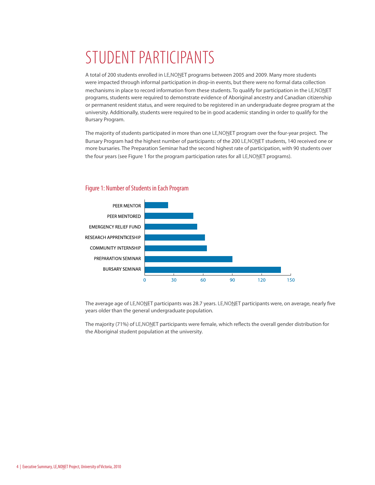## STUDENT PARTICIPANTS

A total of 200 students enrolled in LE,NONET programs between 2005 and 2009. Many more students were impacted through informal participation in drop-in events, but there were no formal data collection mechanisms in place to record information from these students. To qualify for participation in the LE,NONET programs, students were required to demonstrate evidence of Aboriginal ancestry and Canadian citizenship or permanent resident status, and were required to be registered in an undergraduate degree program at the university. Additionally, students were required to be in good academic standing in order to qualify for the Bursary Program.

The majority of students participated in more than one LE,NONET program over the four-year project. The Bursary Program had the highest number of participants: of the 200 LE,NONET students, 140 received one or more bursaries. The Preparation Seminar had the second highest rate of participation, with 90 students over the four years (see Figure 1 for the program participation rates for all LE,NONET programs).



### Figure 1: Number of Students in Each Program

The average age of LE,NONET participants was 28.7 years. LE,NONET participants were, on average, nearly five years older than the general undergraduate population.

The majority (71%) of LE,NONET participants were female, which reflects the overall gender distribution for the Aboriginal student population at the university.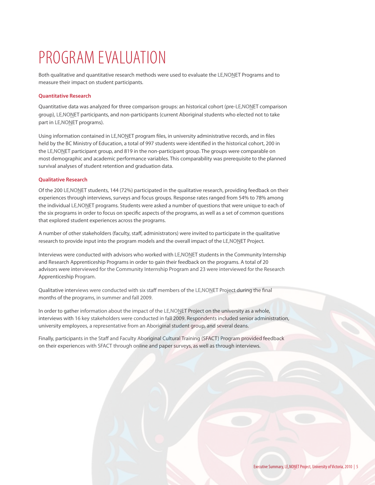# Program Evaluation

Both qualitative and quantitative research methods were used to evaluate the LE,NONET Programs and to measure their impact on student participants.

### **Quantitative Research**

Quantitative data was analyzed for three comparison groups: an historical cohort (pre-LE,NONET comparison group), LE,NONET participants, and non-participants (current Aboriginal students who elected not to take part in LE,NONET programs).

Using information contained in LE,NONET program files, in university administrative records, and in files held by the BC Ministry of Education, a total of 997 students were identified in the historical cohort, 200 in the LE,NONET participant group, and 819 in the non-participant group. The groups were comparable on most demographic and academic performance variables. This comparability was prerequisite to the planned survival analyses of student retention and graduation data.

### **Qualitative Research**

Of the 200 LE,NONET students, 144 (72%) participated in the qualitative research, providing feedback on their experiences through interviews, surveys and focus groups. Response rates ranged from 54% to 78% among the individual LE,NONET programs. Students were asked a number of questions that were unique to each of the six programs in order to focus on specific aspects of the programs, as well as a set of common questions that explored student experiences across the programs.

A number of other stakeholders (faculty, staff, administrators) were invited to participate in the qualitative research to provide input into the program models and the overall impact of the LE,NONET Project.

Interviews were conducted with advisors who worked with LE,NONET students in the Community Internship and Research Apprenticeship Programs in order to gain their feedback on the programs. A total of 20 advisors were interviewed for the Community Internship Program and 23 were interviewed for the Research Apprenticeship Program.

Qualitative interviews were conducted with six staff members of the LE,NONET Project during the final months of the programs, in summer and fall 2009.

In order to gather information about the impact of the LE,NONET Project on the university as a whole, interviews with 16 key stakeholders were conducted in fall 2009. Respondents included senior administration, university employees, a representative from an Aboriginal student group, and several deans.

Finally, participants in the Staff and Faculty Aboriginal Cultural Training (SFACT) Program provided feedback on their experiences with SFACT through online and paper surveys, as well as through interviews.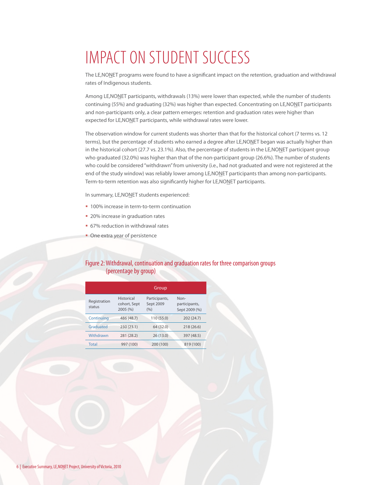### Impact on Student Success

The LE,NONET programs were found to have a significant impact on the retention, graduation and withdrawal rates of Indigenous students.

Among LE,NONET participants, withdrawals (13%) were lower than expected, while the number of students continuing (55%) and graduating (32%) was higher than expected. Concentrating on LE,NONET participants and non-participants only, a clear pattern emerges: retention and graduation rates were higher than expected for LE, NONET participants, while withdrawal rates were lower.

The observation window for current students was shorter than that for the historical cohort (7 terms vs. 12 terms), but the percentage of students who earned a degree after LE,NONET began was actually higher than in the historical cohort (27.7 vs. 23.1%). Also, the percentage of students in the LE,NONET participant group who graduated (32.0%) was higher than that of the non-participant group (26.6%). The number of students who could be considered "withdrawn" from university (i.e., had not graduated and were not registered at the end of the study window) was reliably lower among LE,NONET participants than among non-participants. Term-to-term retention was also significantly higher for LE,NONET participants.

In summary, LE,NONET students experienced:

- **100% increase in term-to-term continuation**
- **20% increase in graduation rates**
- **67%** reduction in withdrawal rates
- One extra year of persistence

### Figure 2: Withdrawal, continuation and graduation rates for three comparison groups (percentage by group)

|                        |                                               | Group                               |                                        |
|------------------------|-----------------------------------------------|-------------------------------------|----------------------------------------|
| Registration<br>status | <b>Historical</b><br>cohort, Sept<br>2005 (%) | Participants,<br>Sept 2009<br>(9/0) | Non-<br>participants,<br>Sept 2009 (%) |
| Continuing             | 486 (48.7)                                    | 110 (55.0)                          | 202(24.7)                              |
| Graduated              | 230(23.1)                                     | 64 (32.0)                           | 218 (26.6)                             |
| Withdrawn              | 281 (28.2)                                    | 26(13.0)                            | 397 (48.5)                             |
| <b>Total</b>           | 997 (100)                                     | 200 (100)                           | 819 (100)                              |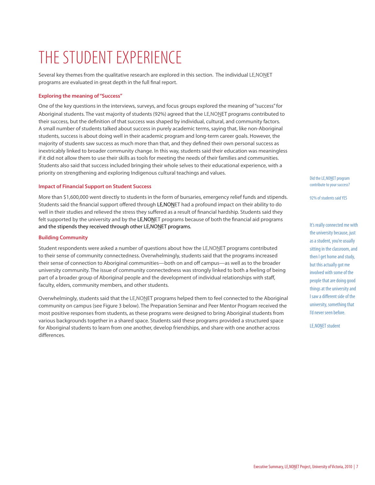## The Student Experience

Several key themes from the qualitative research are explored in this section. The individual LE,NONET programs are evaluated in great depth in the full final report.

#### **Exploring the meaning of "Success"**

One of the key questions in the interviews, surveys, and focus groups explored the meaning of "success" for Aboriginal students. The vast majority of students (92%) agreed that the LE,NONET programs contributed to their success, but the definition of that success was shaped by individual, cultural, and community factors. A small number of students talked about success in purely academic terms, saying that, like non-Aboriginal students, success is about doing well in their academic program and long-term career goals. However, the majority of students saw success as much more than that, and they defined their own personal success as inextricably linked to broader community change. In this way, students said their education was meaningless if it did not allow them to use their skills as tools for meeting the needs of their families and communities. Students also said that success included bringing their whole selves to their educational experience, with a priority on strengthening and exploring Indigenous cultural teachings and values.

#### **Impact of Financial Support on Student Success**

More than \$1,600,000 went directly to students in the form of bursaries, emergency relief funds and stipends. Students said the financial support offered through LE,NONET had a profound impact on their ability to do well in their studies and relieved the stress they suffered as a result of financial hardship. Students said they felt supported by the university and by the LE,NONET programs because of both the financial aid programs and the stipends they received through other LE,NONET programs.

#### **Building Community**

Student respondents were asked a number of questions about how the LE,NONET programs contributed to their sense of community connectedness. Overwhelmingly, students said that the programs increased their sense of connection to Aboriginal communities—both on and off campus—as well as to the broader university community. The issue of community connectedness was strongly linked to both a feeling of being part of a broader group of Aboriginal people and the development of individual relationships with staff, faculty, elders, community members, and other students.

Overwhelmingly, students said that the LE,NONET programs helped them to feel connected to the Aboriginal community on campus (see Figure 3 below). The Preparation Seminar and Peer Mentor Program received the most positive responses from students, as these programs were designed to bring Aboriginal students from various backgrounds together in a shared space. Students said these programs provided a structured space for Aboriginal students to learn from one another, develop friendships, and share with one another across differences.

Did the LE, NONET program contribute to your success?

92% of students said YES

It's really connected me with the university because, just as a student, you're usually sitting in the classroom, and then I get home and study, but this actually got me involved with some of the people that are doing good things at the university and I saw a different side of the university, something that I'd never seen before.

LE,NONET student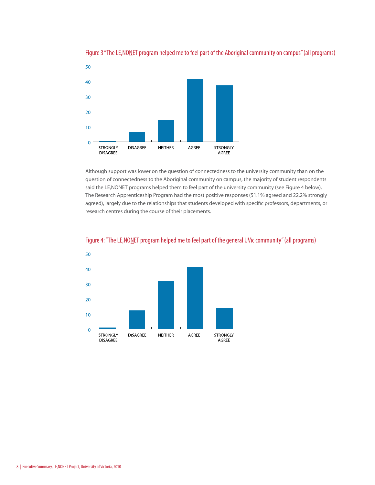

Figure 3 "The LE,NONET program helped me to feel part of the Aboriginal community on campus" (all programs)

Although support was lower on the question of connectedness to the university community than on the question of connectedness to the Aboriginal community on campus, the majority of student respondents said the LE,NONET programs helped them to feel part of the university community (see Figure 4 below). The Research Apprenticeship Program had the most positive responses (51.1% agreed and 22.2% strongly agreed), largely due to the relationships that students developed with specific professors, departments, or research centres during the course of their placements.



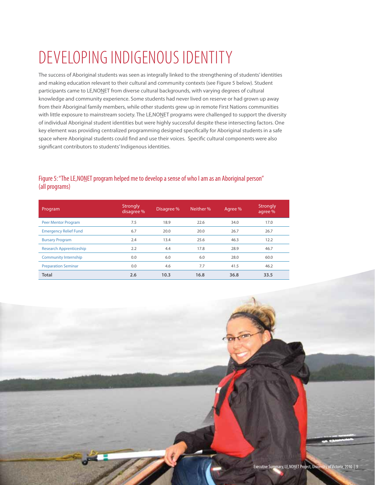## Developing Indigenous Identity

The success of Aboriginal students was seen as integrally linked to the strengthening of students' identities and making education relevant to their cultural and community contexts (see Figure 5 below). Student participants came to LE,NONET from diverse cultural backgrounds, with varying degrees of cultural knowledge and community experience. Some students had never lived on reserve or had grown up away from their Aboriginal family members, while other students grew up in remote First Nations communities with little exposure to mainstream society. The LE,NONET programs were challenged to support the diversity of individual Aboriginal student identities but were highly successful despite these intersecting factors. One key element was providing centralized programming designed specifically for Aboriginal students in a safe space where Aboriginal students could find and use their voices. Specific cultural components were also significant contributors to students' Indigenous identities.

| Program                        | Strongly<br>disagree % | Disagree % | Neither % | Agree % | Strongly<br>agree % |
|--------------------------------|------------------------|------------|-----------|---------|---------------------|
| <b>Peer Mentor Program</b>     | 7.5                    | 18.9       | 22.6      | 34.0    | 17.0                |
| <b>Emergency Relief Fund</b>   | 6.7                    | 20.0       | 20.0      | 26.7    | 26.7                |
| <b>Bursary Program</b>         | 2.4                    | 13.4       | 25.6      | 46.3    | 12.2                |
| <b>Research Apprenticeship</b> | 2.2                    | 4.4        | 17.8      | 28.9    | 46.7                |
| <b>Community Internship</b>    | 0.0                    | 6.0        | 6.0       | 28.0    | 60.0                |
| <b>Preparation Seminar</b>     | 0.0                    | 4.6        | 7.7       | 41.5    | 46.2                |
| <b>Total</b>                   | 2.6                    | 10.3       | 16.8      | 36.8    | 33.5                |

### Figure 5: "The LE, NONET program helped me to develop a sense of who I am as an Aboriginal person" (all programs)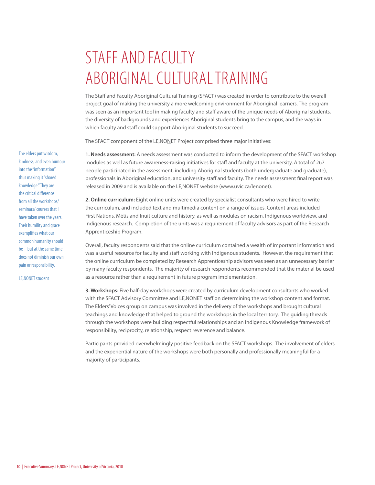### STAFF AND FACULTY ABORIGINAL CULTURAL TRAINING

The Staff and Faculty Aboriginal Cultural Training (SFACT) was created in order to contribute to the overall project goal of making the university a more welcoming environment for Aboriginal learners. The program was seen as an important tool in making faculty and staff aware of the unique needs of Aboriginal students, the diversity of backgrounds and experiences Aboriginal students bring to the campus, and the ways in which faculty and staff could support Aboriginal students to succeed.

The SFACT component of the LE,NONET Project comprised three major initiatives:

**1. Needs assessment:** A needs assessment was conducted to inform the development of the SFACT workshop modules as well as future awareness-raising initiatives for staff and faculty at the university. A total of 267 people participated in the assessment, including Aboriginal students (both undergraduate and graduate), professionals in Aboriginal education, and university staff and faculty. The needs assessment final report was released in 2009 and is available on the LE,NONET website (www.uvic.ca/lenonet).

**2. Online curriculum:** Eight online units were created by specialist consultants who were hired to write the curriculum, and included text and multimedia content on a range of issues. Content areas included First Nations, Métis and Inuit culture and history, as well as modules on racism, Indigenous worldview, and Indigenous research. Completion of the units was a requirement of faculty advisors as part of the Research Apprenticeship Program.

Overall, faculty respondents said that the online curriculum contained a wealth of important information and was a useful resource for faculty and staff working with Indigenous students. However, the requirement that the online curriculum be completed by Research Apprenticeship advisors was seen as an unnecessary barrier by many faculty respondents. The majority of research respondents recommended that the material be used as a resource rather than a requirement in future program implementation.

**3. Workshops:** Five half-day workshops were created by curriculum development consultants who worked with the SFACT Advisory Committee and LE,NONET staff on determining the workshop content and format. The Elders' Voices group on campus was involved in the delivery of the workshops and brought cultural teachings and knowledge that helped to ground the workshops in the local territory. The guiding threads through the workshops were building respectful relationships and an Indigenous Knowledge framework of responsibility, reciprocity, relationship, respect reverence and balance.

Participants provided overwhelmingly positive feedback on the SFACT workshops. The involvement of elders and the experiential nature of the workshops were both personally and professionally meaningful for a majority of participants.

The elders put wisdom, kindness, and even humour into the "information" thus making it "shared knowledge." They are the critical difference from all the workshops/ seminars/ courses that I have taken over the years. Their humility and grace exemplifies what our common humanity should be – but at the same time does not diminish our own pain or responsibility.

LE,NONET student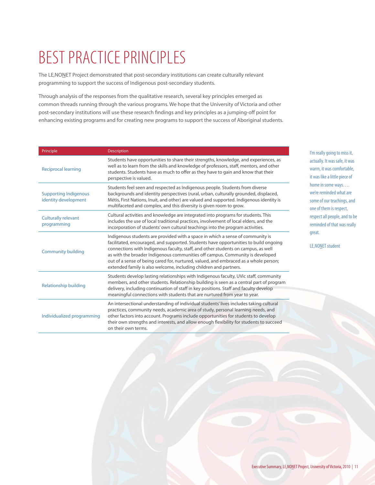# BEST PRACTICE PRINCIPLES

The LE,NONET Project demonstrated that post-secondary institutions can create culturally relevant programming to support the success of Indigenous post-secondary students.

Through analysis of the responses from the qualitative research, several key principles emerged as common threads running through the various programs. We hope that the University of Victoria and other post-secondary institutions will use these research findings and key principles as a jumping-off point for enhancing existing programs and for creating new programs to support the success of Aboriginal students.

| Principle                                            | <b>Description</b>                                                                                                                                                                                                                                                                                                                                                                                                                                                                                        |
|------------------------------------------------------|-----------------------------------------------------------------------------------------------------------------------------------------------------------------------------------------------------------------------------------------------------------------------------------------------------------------------------------------------------------------------------------------------------------------------------------------------------------------------------------------------------------|
| <b>Reciprocal learning</b>                           | Students have opportunities to share their strengths, knowledge, and experiences, as<br>well as to learn from the skills and knowledge of professors, staff, mentors, and other<br>students. Students have as much to offer as they have to gain and know that their<br>perspective is valued.                                                                                                                                                                                                            |
| <b>Supporting Indigenous</b><br>identity development | Students feel seen and respected as Indigenous people. Students from diverse<br>backgrounds and identity perspectives (rural, urban, culturally grounded, displaced,<br>Métis, First Nations, Inuit, and other) are valued and supported. Indigenous identity is<br>multifaceted and complex, and this diversity is given room to grow.                                                                                                                                                                   |
| <b>Culturally relevant</b><br>programming            | Cultural activities and knowledge are integrated into programs for students. This<br>includes the use of local traditional practices, involvement of local elders, and the<br>incorporation of students' own cultural teachings into the program activities.                                                                                                                                                                                                                                              |
| <b>Community building</b>                            | Indigenous students are provided with a space in which a sense of community is<br>facilitated, encouraged, and supported. Students have opportunities to build ongoing<br>connections with Indigenous faculty, staff, and other students on campus, as well<br>as with the broader Indigenous communities off campus. Community is developed<br>out of a sense of being cared for, nurtured, valued, and embraced as a whole person;<br>extended family is also welcome, including children and partners. |
| <b>Relationship building</b>                         | Students develop lasting relationships with Indigenous faculty, UVic staff, community<br>members, and other students. Relationship building is seen as a central part of program<br>delivery, including continuation of staff in key positions. Staff and faculty develop<br>meaningful connections with students that are nurtured from year to year.                                                                                                                                                    |
| Individualized programming                           | An intersectional understanding of individual students' lives includes taking cultural<br>practices, community needs, academic area of study, personal learning needs, and<br>other factors into account. Programs include opportunities for students to develop<br>their own strengths and interests, and allow enough flexibility for students to succeed<br>on their own terms.                                                                                                                        |

I'm really going to miss it, actually. It was safe, it was warm, it was comfortable, it was like a little piece of home in some ways…. we're reminded what are some of our teachings, and one of them is respect, respect all people, and to be reminded of that was really great.

LE, NONET student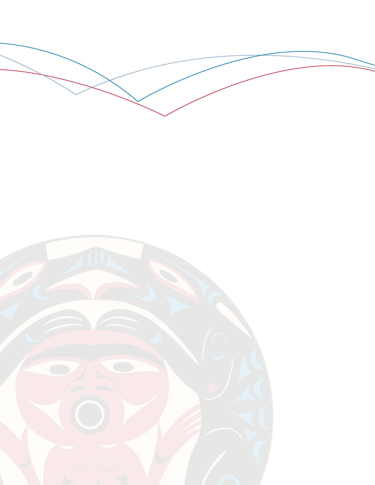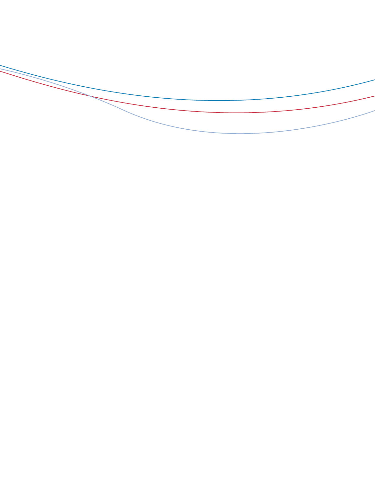